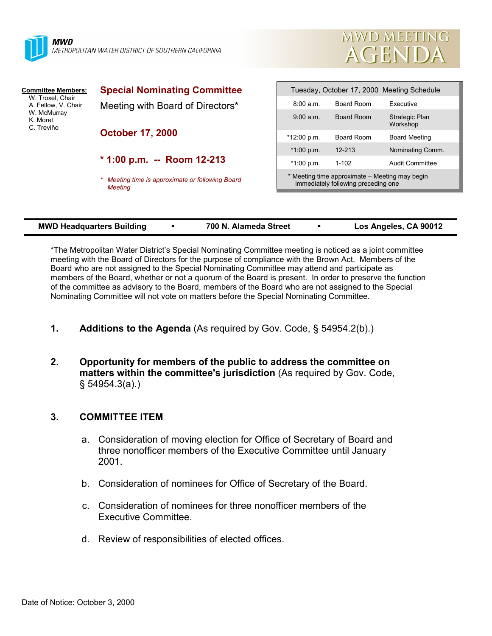



| <b>Committee Members:</b><br>W. Troxel, Chair<br>A. Fellow, V. Chair<br>W. McMurray<br>K. Moret<br>C. Treviño | <b>Special Nominating Committee</b>                       | Tuesday, October 17, 2000 Meeting Schedule                                            |            |                                   |  |
|---------------------------------------------------------------------------------------------------------------|-----------------------------------------------------------|---------------------------------------------------------------------------------------|------------|-----------------------------------|--|
|                                                                                                               | Meeting with Board of Directors*                          | 8:00 a.m.                                                                             | Board Room | Executive                         |  |
|                                                                                                               |                                                           | 9:00 a.m.                                                                             | Board Room | <b>Strategic Plan</b><br>Workshop |  |
|                                                                                                               | <b>October 17, 2000</b>                                   | $*12:00 p.m.$                                                                         | Board Room | <b>Board Meeting</b>              |  |
|                                                                                                               |                                                           | $*1:00 p.m.$                                                                          | $12 - 213$ | Nominating Comm.                  |  |
|                                                                                                               | $*$ 1:00 p.m. -- Room 12-213                              | $*1:00 p.m.$                                                                          | $1 - 102$  | Audit Committee                   |  |
|                                                                                                               | Meeting time is approximate or following Board<br>Meetina | * Meeting time approximate – Meeting may begin<br>immediately following preceding one |            |                                   |  |
|                                                                                                               |                                                           |                                                                                       |            |                                   |  |

| <b>MWD Headquarters Building</b> | 700 N. Alameda Street | Los Angeles, CA 90012 |
|----------------------------------|-----------------------|-----------------------|
|                                  |                       |                       |

\*The Metropolitan Water District's Special Nominating Committee meeting is noticed as a joint committee meeting with the Board of Directors for the purpose of compliance with the Brown Act. Members of the Board who are not assigned to the Special Nominating Committee may attend and participate as members of the Board, whether or not a quorum of the Board is present. In order to preserve the function of the committee as advisory to the Board, members of the Board who are not assigned to the Special Nominating Committee will not vote on matters before the Special Nominating Committee.

- **1. Additions to the Agenda** (As required by Gov. Code, § 54954.2(b).)
- **2. Opportunity for members of the public to address the committee on matters within the committee's jurisdiction** (As required by Gov. Code, § 54954.3(a).)

## **3. COMMITTEE ITEM**

- a. Consideration of moving election for Office of Secretary of Board and three nonofficer members of the Executive Committee until January 2001.
- b. Consideration of nominees for Office of Secretary of the Board.
- c. Consideration of nominees for three nonofficer members of the Executive Committee.
- d. Review of responsibilities of elected offices.